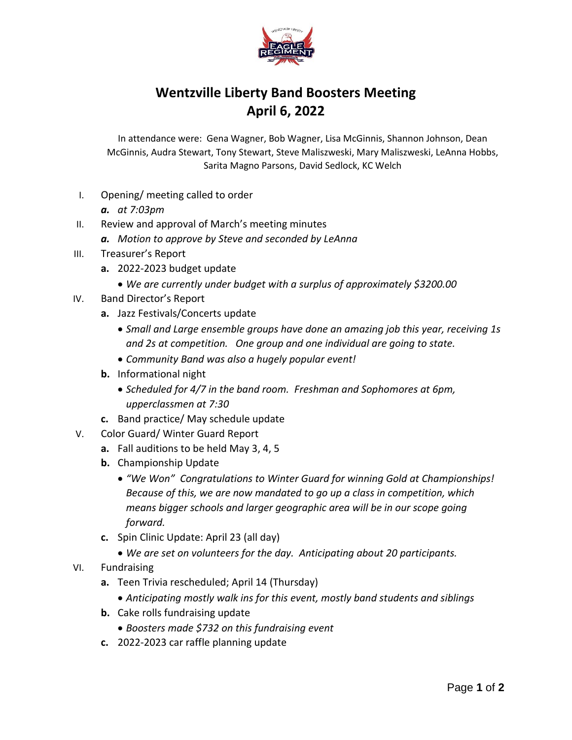

## **Wentzville Liberty Band Boosters Meeting April 6, 2022**

In attendance were: Gena Wagner, Bob Wagner, Lisa McGinnis, Shannon Johnson, Dean McGinnis, Audra Stewart, Tony Stewart, Steve Maliszweski, Mary Maliszweski, LeAnna Hobbs, Sarita Magno Parsons, David Sedlock, KC Welch

- I. Opening/ meeting called to order
	- *a. at 7:03pm*
- II. Review and approval of March's meeting minutes
	- *a. Motion to approve by Steve and seconded by LeAnna*
- III. Treasurer's Report
	- **a.** 2022-2023 budget update
		- *We are currently under budget with a surplus of approximately \$3200.00*
- IV. Band Director's Report
	- **a.** Jazz Festivals/Concerts update
		- *Small and Large ensemble groups have done an amazing job this year, receiving 1s and 2s at competition. One group and one individual are going to state.*
		- *Community Band was also a hugely popular event!*
	- **b.** Informational night
		- *Scheduled for 4/7 in the band room. Freshman and Sophomores at 6pm, upperclassmen at 7:30*
	- **c.** Band practice/ May schedule update
- V. Color Guard/ Winter Guard Report
	- **a.** Fall auditions to be held May 3, 4, 5
	- **b.** Championship Update
		- *"We Won" Congratulations to Winter Guard for winning Gold at Championships! Because of this, we are now mandated to go up a class in competition, which means bigger schools and larger geographic area will be in our scope going forward.*
	- **c.** Spin Clinic Update: April 23 (all day)
		- *We are set on volunteers for the day. Anticipating about 20 participants.*
- VI. Fundraising
	- **a.** Teen Trivia rescheduled; April 14 (Thursday)
		- *Anticipating mostly walk ins for this event, mostly band students and siblings*
	- **b.** Cake rolls fundraising update
		- *Boosters made \$732 on this fundraising event*
	- **c.** 2022-2023 car raffle planning update